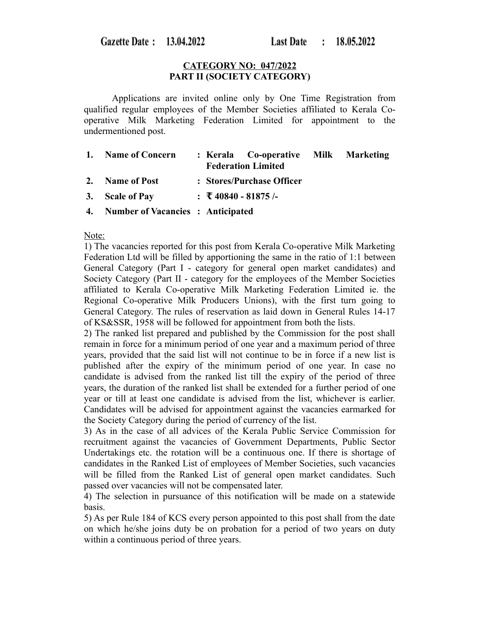Gazette Date: 13.04.2022

## **CATEGORY NO: 047/2022 PART II (SOCIETY CATEGORY)**

Applications are invited online only by One Time Registration from qualified regular employees of the Member Societies affiliated to Kerala Cooperative Milk Marketing Federation Limited for appointment to the undermentioned post.

| 1. Name of Concern                   | : Kerala Co-operative Milk Marketing<br><b>Federation Limited</b> |  |
|--------------------------------------|-------------------------------------------------------------------|--|
| 2. Name of Post                      | : Stores/Purchase Officer                                         |  |
| 3. Scale of Pay                      | : ₹40840 - 81875 /-                                               |  |
| 4. Number of Vacancies : Anticipated |                                                                   |  |

### Note:

1) The vacancies reported for this post from Kerala Co-operative Milk Marketing Federation Ltd will be filled by apportioning the same in the ratio of 1:1 between General Category (Part I - category for general open market candidates) and Society Category (Part II - category for the employees of the Member Societies affiliated to Kerala Co-operative Milk Marketing Federation Limited ie. the Regional Co-operative Milk Producers Unions), with the first turn going to General Category. The rules of reservation as laid down in General Rules 14-17 of KS&SSR, 1958 will be followed for appointment from both the lists.

2) The ranked list prepared and published by the Commission for the post shall remain in force for a minimum period of one year and a maximum period of three years, provided that the said list will not continue to be in force if a new list is published after the expiry of the minimum period of one year. In case no candidate is advised from the ranked list till the expiry of the period of three years, the duration of the ranked list shall be extended for a further period of one year or till at least one candidate is advised from the list, whichever is earlier. Candidates will be advised for appointment against the vacancies earmarked for the Society Category during the period of currency of the list.

3) As in the case of all advices of the Kerala Public Service Commission for recruitment against the vacancies of Government Departments, Public Sector Undertakings etc. the rotation will be a continuous one. If there is shortage of candidates in the Ranked List of employees of Member Societies, such vacancies will be filled from the Ranked List of general open market candidates. Such passed over vacancies will not be compensated later.

4) The selection in pursuance of this notification will be made on a statewide basis.

5) As per Rule 184 of KCS every person appointed to this post shall from the date on which he/she joins duty be on probation for a period of two years on duty within a continuous period of three years.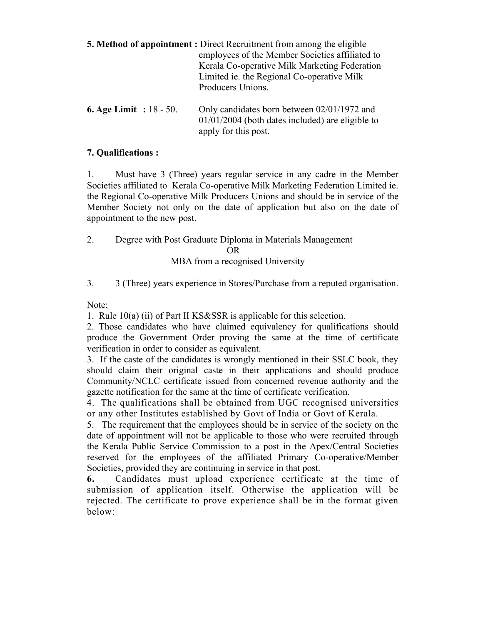|                            | <b>5. Method of appointment :</b> Direct Recruitment from among the eligible<br>employees of the Member Societies affiliated to<br>Kerala Co-operative Milk Marketing Federation<br>Limited ie. the Regional Co-operative Milk<br>Producers Unions. |  |  |
|----------------------------|-----------------------------------------------------------------------------------------------------------------------------------------------------------------------------------------------------------------------------------------------------|--|--|
| 6. Age Limit : $18 - 50$ . | Only candidates born between $02/01/1972$ and<br>$01/01/2004$ (both dates included) are eligible to<br>apply for this post.                                                                                                                         |  |  |

# **7. Qualifications :**

1. Must have 3 (Three) years regular service in any cadre in the Member Societies affiliated to Kerala Co-operative Milk Marketing Federation Limited ie. the Regional Co-operative Milk Producers Unions and should be in service of the Member Society not only on the date of application but also on the date of appointment to the new post.

2. Degree with Post Graduate Diploma in Materials Management OR

MBA from a recognised University

3. 3 (Three) years experience in Stores/Purchase from a reputed organisation.

Note:

1. Rule 10(a) (ii) of Part II KS&SSR is applicable for this selection.

2. Those candidates who have claimed equivalency for qualifications should produce the Government Order proving the same at the time of certificate verification in order to consider as equivalent.

3. If the caste of the candidates is wrongly mentioned in their SSLC book, they should claim their original caste in their applications and should produce Community/NCLC certificate issued from concerned revenue authority and the gazette notification for the same at the time of certificate verification.

4. The qualifications shall be obtained from UGC recognised universities or any other Institutes established by Govt of India or Govt of Kerala.

5. The requirement that the employees should be in service of the society on the date of appointment will not be applicable to those who were recruited through the Kerala Public Service Commission to a post in the Apex/Central Societies reserved for the employees of the affiliated Primary Co-operative/Member Societies, provided they are continuing in service in that post.

**6.** Candidates must upload experience certificate at the time of submission of application itself. Otherwise the application will be rejected. The certificate to prove experience shall be in the format given below: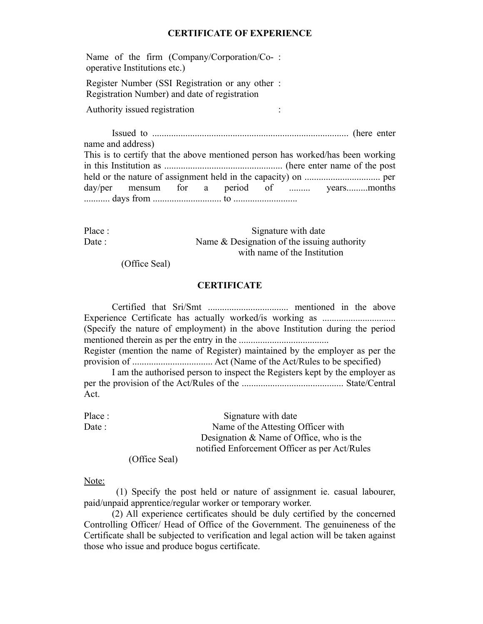### **CERTIFICATE OF EXPERIENCE**

Name of the firm (Company/Corporation/Co-: operative Institutions etc.)

Register Number (SSI Registration or any other : Registration Number) and date of registration

Authority issued registration :

Issued to ................................................................................... (here enter name and address) This is to certify that the above mentioned person has worked/has been working in this Institution as .................................................. (here enter name of the post held or the nature of assignment held in the capacity) on ................................ per day/per mensum for a period of ......... years..........months ........... days from ............................. to ...........................

Place : Signature with date Date : Name & Designation of the issuing authority with name of the Institution

(Office Seal)

#### **CERTIFICATE**

Certified that Sri/Smt .................................. mentioned in the above Experience Certificate has actually worked/is working as ............................... (Specify the nature of employment) in the above Institution during the period mentioned therein as per the entry in the ...................................... Register (mention the name of Register) maintained by the employer as per the provision of .................................. Act (Name of the Act/Rules to be specified)

I am the authorised person to inspect the Registers kept by the employer as per the provision of the Act/Rules of the ........................................... State/Central Act.

Place : Signature with date Date : Name of the Attesting Officer with Designation & Name of Office, who is the notified Enforcement Officer as per Act/Rules

(Office Seal)

Note:

 (1) Specify the post held or nature of assignment ie. casual labourer, paid/unpaid apprentice/regular worker or temporary worker.

(2) All experience certificates should be duly certified by the concerned Controlling Officer/ Head of Office of the Government. The genuineness of the Certificate shall be subjected to verification and legal action will be taken against those who issue and produce bogus certificate.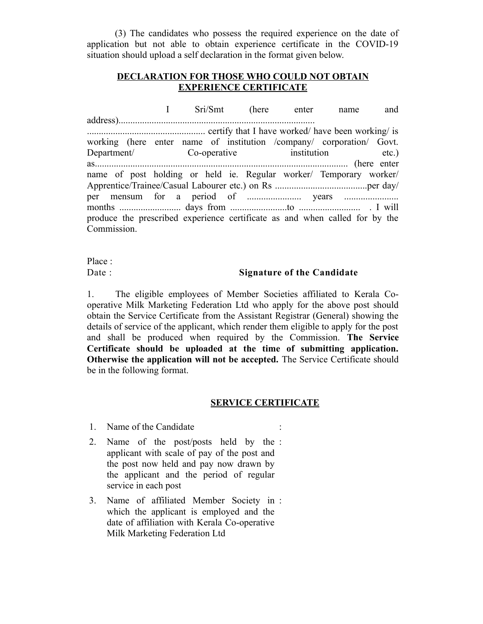(3) The candidates who possess the required experience on the date of application but not able to obtain experience certificate in the COVID-19 situation should upload a self declaration in the format given below.

## **DECLARATION FOR THOSE WHO COULD NOT OBTAIN EXPERIENCE CERTIFICATE**

|                                                                             |  |  |  |  | I Sri/Smt (here enter name |                                                                      | and |  |
|-----------------------------------------------------------------------------|--|--|--|--|----------------------------|----------------------------------------------------------------------|-----|--|
|                                                                             |  |  |  |  |                            |                                                                      |     |  |
|                                                                             |  |  |  |  |                            |                                                                      |     |  |
|                                                                             |  |  |  |  |                            | working (here enter name of institution /company/ corporation/ Govt. |     |  |
|                                                                             |  |  |  |  |                            | Department/ Co-operative institution etc.)                           |     |  |
|                                                                             |  |  |  |  |                            |                                                                      |     |  |
|                                                                             |  |  |  |  |                            | name of post holding or held ie. Regular worker/ Temporary worker/   |     |  |
|                                                                             |  |  |  |  |                            |                                                                      |     |  |
|                                                                             |  |  |  |  |                            |                                                                      |     |  |
|                                                                             |  |  |  |  |                            |                                                                      |     |  |
| produce the prescribed experience certificate as and when called for by the |  |  |  |  |                            |                                                                      |     |  |
| Commission.                                                                 |  |  |  |  |                            |                                                                      |     |  |

Place :

## Date : **Signature of the Candidate**

1. The eligible employees of Member Societies affiliated to Kerala Cooperative Milk Marketing Federation Ltd who apply for the above post should obtain the Service Certificate from the Assistant Registrar (General) showing the details of service of the applicant, which render them eligible to apply for the post and shall be produced when required by the Commission. **The Service Certificate should be uploaded at the time of submitting application. Otherwise the application will not be accepted.** The Service Certificate should be in the following format.

### **SERVICE CERTIFICATE**

- 1. Name of the Candidate
- 2. Name of the post/posts held by the : applicant with scale of pay of the post and the post now held and pay now drawn by the applicant and the period of regular service in each post
- 3. Name of affiliated Member Society in :which the applicant is employed and the date of affiliation with Kerala Co-operative Milk Marketing Federation Ltd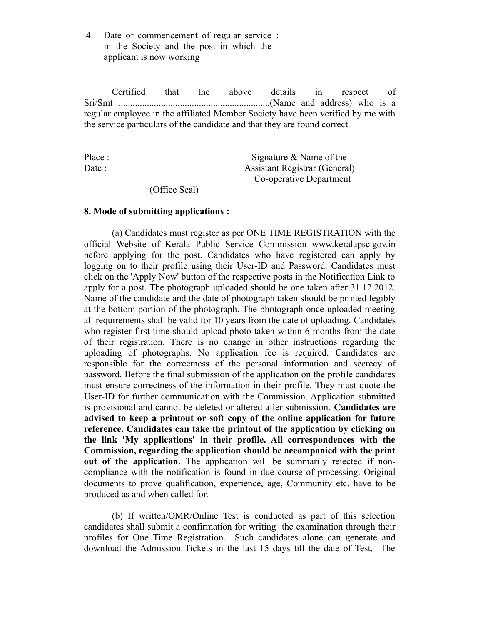4. Date of commencement of regular service : in the Society and the post in which the applicant is now working

Certified that the above details in respect of Sri/Smt ................................................................(Name and address) who is a regular employee in the affiliated Member Society have been verified by me with the service particulars of the candidate and that they are found correct.

| Signature $&$ Name of the            |
|--------------------------------------|
| <b>Assistant Registrar (General)</b> |
| Co-operative Department              |
|                                      |

(Office Seal)

### **8. Mode of submitting applications :**

(a) Candidates must register as per ONE TIME REGISTRATION with the official Website of Kerala Public Service Commission www.keralapsc.gov.in before applying for the post. Candidates who have registered can apply by logging on to their profile using their User-ID and Password. Candidates must click on the 'Apply Now' button of the respective posts in the Notification Link to apply for a post. The photograph uploaded should be one taken after 31.12.2012. Name of the candidate and the date of photograph taken should be printed legibly at the bottom portion of the photograph. The photograph once uploaded meeting all requirements shall be valid for 10 years from the date of uploading. Candidates who register first time should upload photo taken within 6 months from the date of their registration. There is no change in other instructions regarding the uploading of photographs. No application fee is required. Candidates are responsible for the correctness of the personal information and secrecy of password. Before the final submission of the application on the profile candidates must ensure correctness of the information in their profile. They must quote the User-ID for further communication with the Commission. Application submitted is provisional and cannot be deleted or altered after submission. **Candidates are advised to keep a printout or soft copy of the online application for future reference. Candidates can take the printout of the application by clicking on the link 'My applications' in their profile. All correspondences with the Commission, regarding the application should be accompanied with the print out of the application**. The application will be summarily rejected if noncompliance with the notification is found in due course of processing. Original documents to prove qualification, experience, age, Community etc. have to be produced as and when called for.

(b) If written/OMR/Online Test is conducted as part of this selection candidates shall submit a confirmation for writing the examination through their profiles for One Time Registration. Such candidates alone can generate and download the Admission Tickets in the last 15 days till the date of Test. The